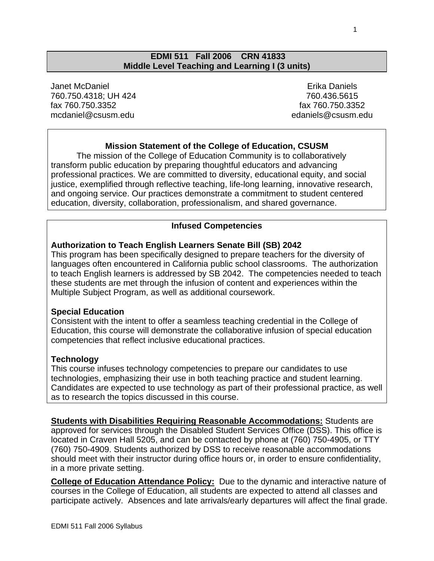#### **EDMI 511 Fall 2006 CRN 41833 Middle Level Teaching and Learning I (3 units)**

Janet McDaniel 760.750.4318; UH 424 fax 760.750.3352 mcdaniel@csusm.edu

 Erika Daniels 760.436.5615 fax 760.750.3352 edaniels@csusm.edu

## **Mission Statement of the College of Education, CSUSM**

The mission of the College of Education Community is to collaboratively transform public education by preparing thoughtful educators and advancing professional practices. We are committed to diversity, educational equity, and social justice, exemplified through reflective teaching, life-long learning, innovative research, and ongoing service. Our practices demonstrate a commitment to student centered education, diversity, collaboration, professionalism, and shared governance.

#### **Infused Competencies**

#### **Authorization to Teach English Learners Senate Bill (SB) 2042**

This program has been specifically designed to prepare teachers for the diversity of languages often encountered in California public school classrooms. The authorization to teach English learners is addressed by SB 2042. The competencies needed to teach these students are met through the infusion of content and experiences within the Multiple Subject Program, as well as additional coursework.

#### **Special Education**

Consistent with the intent to offer a seamless teaching credential in the College of Education, this course will demonstrate the collaborative infusion of special education competencies that reflect inclusive educational practices.

#### **Technology**

This course infuses technology competencies to prepare our candidates to use technologies, emphasizing their use in both teaching practice and student learning. Candidates are expected to use technology as part of their professional practice, as well as to research the topics discussed in this course.

**Students with Disabilities Requiring Reasonable Accommodations:** Students are approved for services through the Disabled Student Services Office (DSS). This office is located in Craven Hall 5205, and can be contacted by phone at (760) 750-4905, or TTY (760) 750-4909. Students authorized by DSS to receive reasonable accommodations should meet with their instructor during office hours or, in order to ensure confidentiality, in a more private setting.

**College of Education Attendance Policy:** Due to the dynamic and interactive nature of courses in the College of Education, all students are expected to attend all classes and participate actively. Absences and late arrivals/early departures will affect the final grade.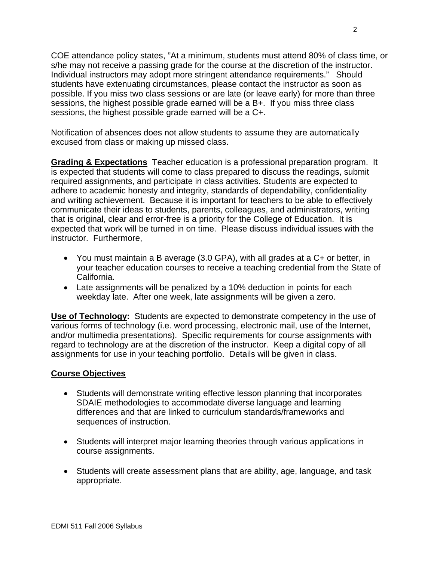COE attendance policy states, "At a minimum, students must attend 80% of class time, or s/he may not receive a passing grade for the course at the discretion of the instructor. Individual instructors may adopt more stringent attendance requirements." Should students have extenuating circumstances, please contact the instructor as soon as possible. If you miss two class sessions or are late (or leave early) for more than three sessions, the highest possible grade earned will be a B+. If you miss three class sessions, the highest possible grade earned will be a C+.

Notification of absences does not allow students to assume they are automatically excused from class or making up missed class.

**Grading & Expectations** Teacher education is a professional preparation program. It is expected that students will come to class prepared to discuss the readings, submit required assignments, and participate in class activities. Students are expected to adhere to academic honesty and integrity, standards of dependability, confidentiality and writing achievement. Because it is important for teachers to be able to effectively communicate their ideas to students, parents, colleagues, and administrators, writing that is original, clear and error-free is a priority for the College of Education. It is expected that work will be turned in on time. Please discuss individual issues with the instructor. Furthermore,

- You must maintain a B average (3.0 GPA), with all grades at a C+ or better, in your teacher education courses to receive a teaching credential from the State of California.
- Late assignments will be penalized by a 10% deduction in points for each weekday late. After one week, late assignments will be given a zero.

**Use of Technology:** Students are expected to demonstrate competency in the use of various forms of technology (i.e. word processing, electronic mail, use of the Internet, and/or multimedia presentations). Specific requirements for course assignments with regard to technology are at the discretion of the instructor. Keep a digital copy of all assignments for use in your teaching portfolio. Details will be given in class.

## **Course Objectives**

- Students will demonstrate writing effective lesson planning that incorporates SDAIE methodologies to accommodate diverse language and learning differences and that are linked to curriculum standards/frameworks and sequences of instruction.
- Students will interpret major learning theories through various applications in course assignments.
- Students will create assessment plans that are ability, age, language, and task appropriate.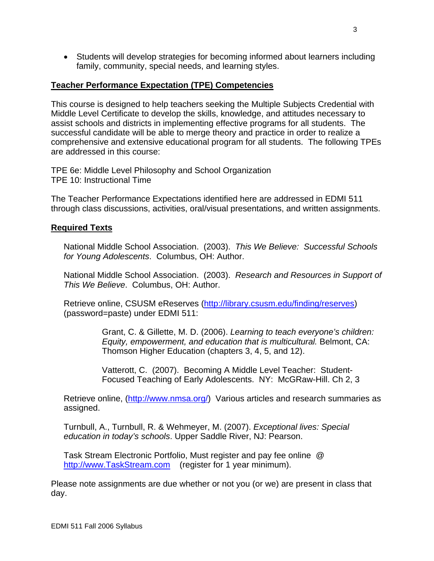• Students will develop strategies for becoming informed about learners including family, community, special needs, and learning styles.

#### **Teacher Performance Expectation (TPE) Competencies**

This course is designed to help teachers seeking the Multiple Subjects Credential with Middle Level Certificate to develop the skills, knowledge, and attitudes necessary to assist schools and districts in implementing effective programs for all students. The successful candidate will be able to merge theory and practice in order to realize a comprehensive and extensive educational program for all students. The following TPEs are addressed in this course:

TPE 6e: Middle Level Philosophy and School Organization TPE 10: Instructional Time

The Teacher Performance Expectations identified here are addressed in EDMI 511 through class discussions, activities, oral/visual presentations, and written assignments.

#### **Required Texts**

National Middle School Association. (2003). *This We Believe: Successful Schools for Young Adolescents*. Columbus, OH: Author.

National Middle School Association. (2003). *Research and Resources in Support of This We Believe*. Columbus, OH: Author.

Retrieve online, CSUSM eReserves (http://library.csusm.edu/finding/reserves) (password=paste) under EDMI 511:

> Grant, C. & Gillette, M. D. (2006). *Learning to teach everyone's children: Equity, empowerment, and education that is multicultural.* Belmont, CA: Thomson Higher Education (chapters 3, 4, 5, and 12).

Vatterott, C. (2007). Becoming A Middle Level Teacher: Student-Focused Teaching of Early Adolescents. NY: McGRaw-Hill. Ch 2, 3

Retrieve online, (http://www.nmsa.org/) Various articles and research summaries as assigned.

Turnbull, A., Turnbull, R. & Wehmeyer, M. (2007). *Exceptional lives: Special education in today's schools*. Upper Saddle River, NJ: Pearson.

Task Stream Electronic Portfolio, Must register and pay fee online @ http://www.TaskStream.com (register for 1 year minimum).

Please note assignments are due whether or not you (or we) are present in class that day.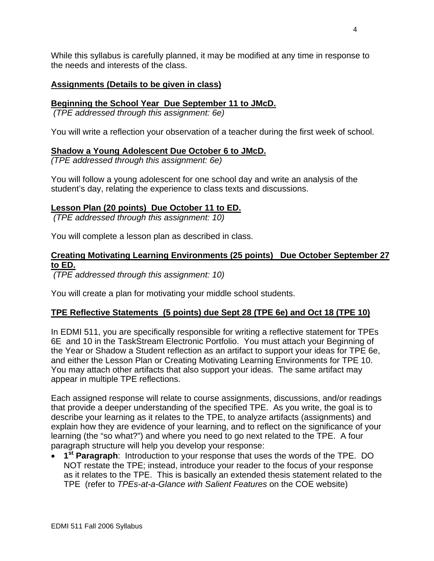While this syllabus is carefully planned, it may be modified at any time in response to the needs and interests of the class.

## **Assignments (Details to be given in class)**

## **Beginning the School Year Due September 11 to JMcD.**

 *(TPE addressed through this assignment: 6e)* 

You will write a reflection your observation of a teacher during the first week of school.

## **Shadow a Young Adolescent Due October 6 to JMcD.**

*(TPE addressed through this assignment: 6e)* 

You will follow a young adolescent for one school day and write an analysis of the student's day, relating the experience to class texts and discussions.

## **Lesson Plan (20 points) Due October 11 to ED.**

 *(TPE addressed through this assignment: 10)* 

You will complete a lesson plan as described in class.

## **Creating Motivating Learning Environments (25 points) Due October September 27 to ED.**

 *(TPE addressed through this assignment: 10)* 

You will create a plan for motivating your middle school students.

## **TPE Reflective Statements (5 points) due Sept 28 (TPE 6e) and Oct 18 (TPE 10)**

In EDMI 511, you are specifically responsible for writing a reflective statement for TPEs 6E and 10 in the TaskStream Electronic Portfolio. You must attach your Beginning of the Year or Shadow a Student reflection as an artifact to support your ideas for TPE 6e, and either the Lesson Plan or Creating Motivating Learning Environments for TPE 10. You may attach other artifacts that also support your ideas. The same artifact may appear in multiple TPE reflections.

Each assigned response will relate to course assignments, discussions, and/or readings that provide a deeper understanding of the specified TPE. As you write, the goal is to describe your learning as it relates to the TPE, to analyze artifacts (assignments) and explain how they are evidence of your learning, and to reflect on the significance of your learning (the "so what?") and where you need to go next related to the TPE. A four paragraph structure will help you develop your response:

• **1st Paragraph**: Introduction to your response that uses the words of the TPE. DO NOT restate the TPE; instead, introduce your reader to the focus of your response as it relates to the TPE. This is basically an extended thesis statement related to the TPE (refer to *TPEs-at-a-Glance with Salient Features* on the COE website)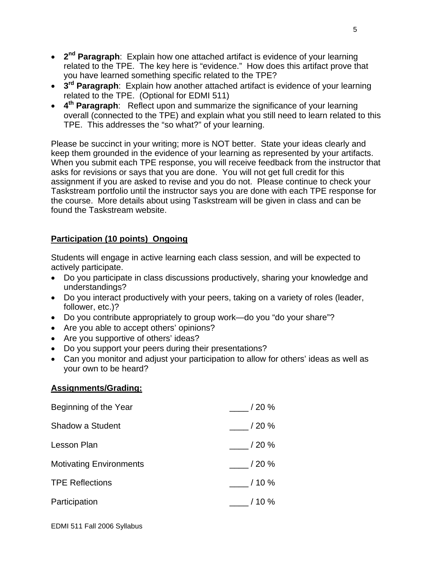- **2nd Paragraph**: Explain how one attached artifact is evidence of your learning related to the TPE. The key here is "evidence." How does this artifact prove that you have learned something specific related to the TPE?
- **3rd Paragraph**: Explain how another attached artifact is evidence of your learning related to the TPE. (Optional for EDMI 511)
- **4th Paragraph**: Reflect upon and summarize the significance of your learning overall (connected to the TPE) and explain what you still need to learn related to this TPE. This addresses the "so what?" of your learning.

Please be succinct in your writing; more is NOT better. State your ideas clearly and keep them grounded in the evidence of your learning as represented by your artifacts. When you submit each TPE response, you will receive feedback from the instructor that asks for revisions or says that you are done. You will not get full credit for this assignment if you are asked to revise and you do not. Please continue to check your Taskstream portfolio until the instructor says you are done with each TPE response for the course. More details about using Taskstream will be given in class and can be found the Taskstream website.

## **Participation (10 points) Ongoing**

Students will engage in active learning each class session, and will be expected to actively participate.

- Do you participate in class discussions productively, sharing your knowledge and understandings?
- Do you interact productively with your peers, taking on a variety of roles (leader, follower, etc.)?
- Do you contribute appropriately to group work—do you "do your share"?
- Are you able to accept others' opinions?
- Are you supportive of others' ideas?
- Do you support your peers during their presentations?
- Can you monitor and adjust your participation to allow for others' ideas as well as your own to be heard?

## **Assignments/Grading:**

| Beginning of the Year          | / 20 %     |
|--------------------------------|------------|
| Shadow a Student               | $/$ 20 $%$ |
| Lesson Plan                    | $/20 \%$   |
| <b>Motivating Environments</b> | / 20 %     |
| <b>TPE Reflections</b>         | / 10 %     |
| Participation                  | / 10 %     |